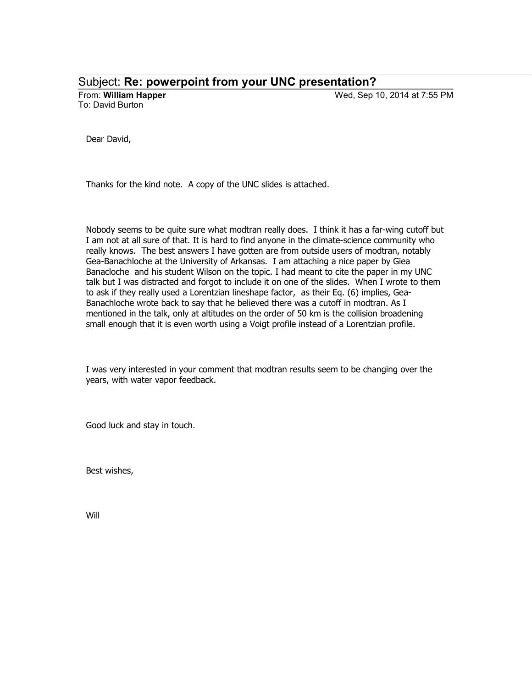Subject: **Re: powerpoint from your UNC presentation?**

To: David Burton

From: **William Happer** Wed, Sep 10, 2014 at 7:55 PM

Dear David,

Thanks for the kind note. A copy of the UNC slides is attached.

Nobody seems to be quite sure what modtran really does. I think it has a far-wing cutoff but I am not at all sure of that. It is hard to find anyone in the climate-science community who really knows. The best answers I have gotten are from outside users of modtran, notably Gea-Banachloche at the University of Arkansas. I am attaching a nice paper by Giea Banacloche and his student Wilson on the topic. I had meant to cite the paper in my UNC talk but I was distracted and forgot to include it on one of the slides. When I wrote to them to ask if they really used a Lorentzian lineshape factor, as their Eq. (6) implies, Gea-Banachloche wrote back to say that he believed there was a cutoff in modtran. As I mentioned in the talk, only at altitudes on the order of 50 km is the collision broadening small enough that it is even worth using a Voigt profile instead of a Lorentzian profile.

I was very interested in your comment that modtran results seem to be changing over the years, with water vapor feedback.

Good luck and stay in touch.

Best wishes,

Will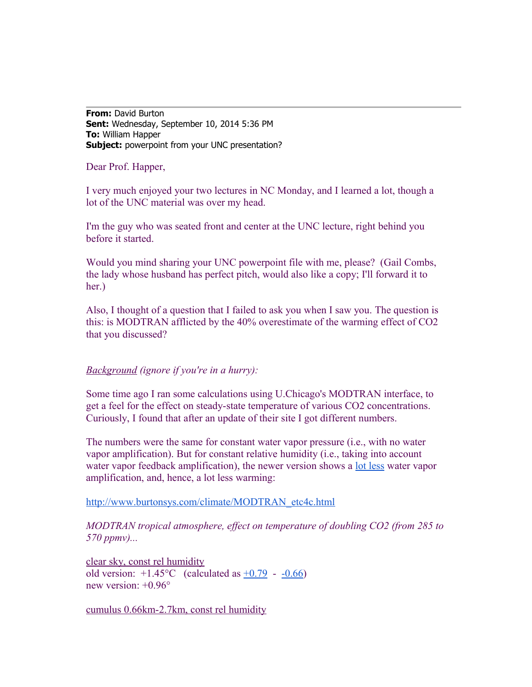**From:** David Burton **Sent:** Wednesday, September 10, 2014 5:36 PM **To:** William Happer **Subject:** powerpoint from your UNC presentation?

Dear Prof. Happer,

I very much enjoyed your two lectures in NC Monday, and I learned a lot, though a lot of the UNC material was over my head.

I'm the guy who was seated front and center at the UNC lecture, right behind you before it started.

Would you mind sharing your UNC powerpoint file with me, please? (Gail Combs, the lady whose husband has perfect pitch, would also like a copy; I'll forward it to her.)

Also, I thought of a question that I failed to ask you when I saw you. The question is this: is MODTRAN afflicted by the 40% overestimate of the warming effect of CO2 that you discussed?

## *Background (ignore if you're in a hurry):*

Some time ago I ran some calculations using U.Chicago's MODTRAN interface, to get a feel for the effect on steady-state temperature of various CO2 concentrations. Curiously, I found that after an update of their site I got different numbers.

The numbers were the same for constant water vapor pressure (i.e., with no water vapor amplification). But for constant relative humidity (i.e., taking into account water vapor feedback amplification), the newer version shows a <u>[lot less](https://archive.today/4RHlK#selection-663.1061-663.1074)</u> water vapor amplification, and, hence, a lot less warming:

[http://www.burtonsys.com/climate/MODTRAN\\_etc4c.html](http://www.burtonsys.com/climate/MODTRAN_etc4c.html)

*MODTRAN tropical atmosphere, effect on temperature of doubling CO2 (from 285 to 570 ppmv)...*

clear sky, const rel humidity old version:  $+1.45^{\circ}$ C (calculated as  $+0.79$  -  $-0.66$ ) new version: +0.96°

cumulus 0.66km-2.7km, const rel humidity